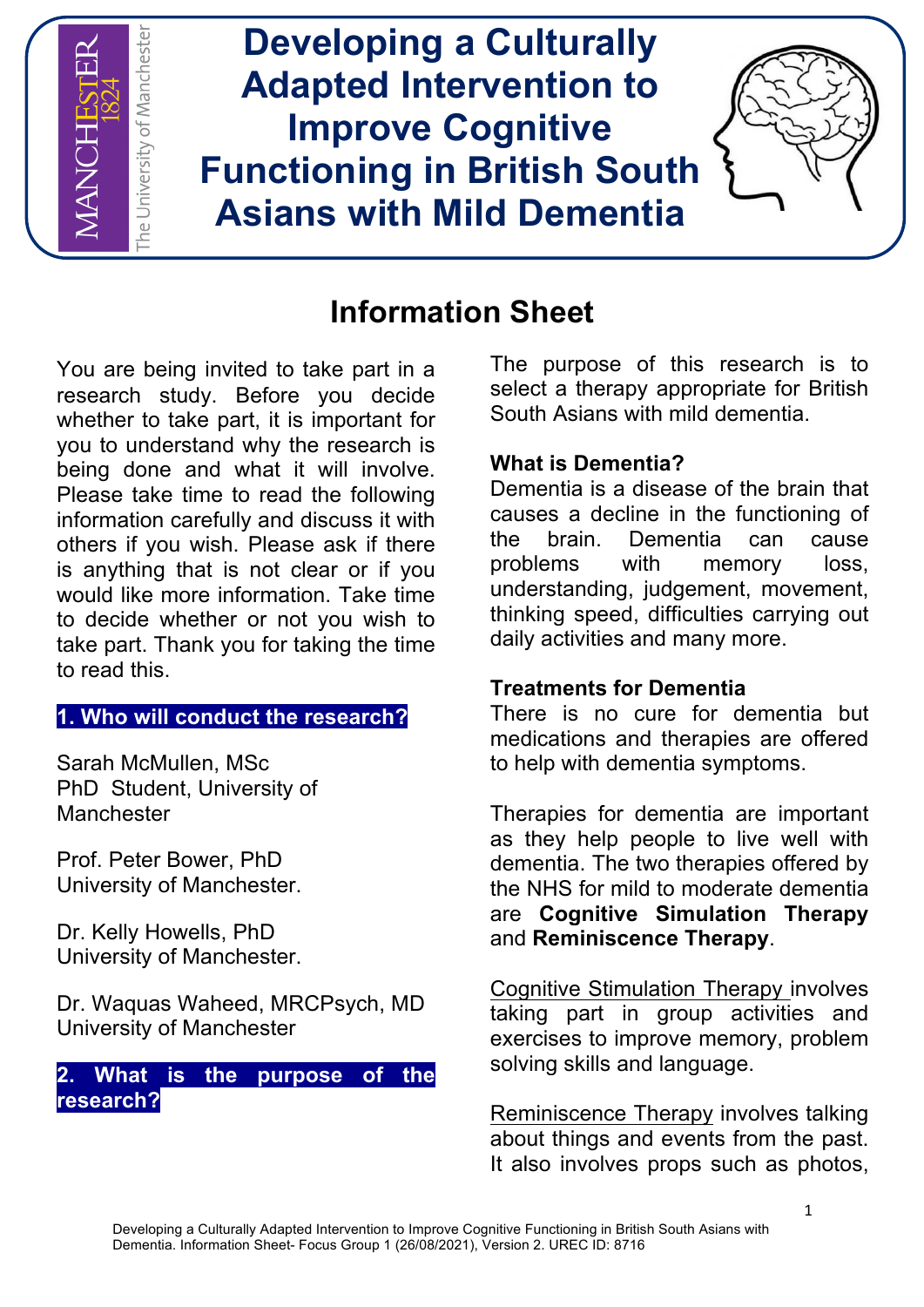

# **Information Sheet**

You are being invited to take part in a research study. Before you decide whether to take part, it is important for you to understand why the research is being done and what it will involve. Please take time to read the following information carefully and discuss it with others if you wish. Please ask if there is anything that is not clear or if you would like more information. Take time to decide whether or not you wish to take part. Thank you for taking the time to read this.

### **1. Who will conduct the research?**

Sarah McMullen, MSc PhD Student, University of **Manchester** 

Prof. Peter Bower, PhD University of Manchester.

Dr. Kelly Howells, PhD University of Manchester.

Dr. Waquas Waheed, MRCPsych, MD University of Manchester

## **2. What is the purpose of the research?**

The purpose of this research is to select a therapy appropriate for British South Asians with mild dementia.

## **What is Dementia?**

Dementia is a disease of the brain that causes a decline in the functioning of the brain. Dementia can cause problems with memory loss, understanding, judgement, movement, thinking speed, difficulties carrying out daily activities and many more.

# **Treatments for Dementia**

There is no cure for dementia but medications and therapies are offered to help with dementia symptoms.

Therapies for dementia are important as they help people to live well with dementia. The two therapies offered by the NHS for mild to moderate dementia are **Cognitive Simulation Therapy** and **Reminiscence Therapy**.

Cognitive Stimulation Therapy involves taking part in group activities and exercises to improve memory, problem solving skills and language.

Reminiscence Therapy involves talking about things and events from the past. It also involves props such as photos.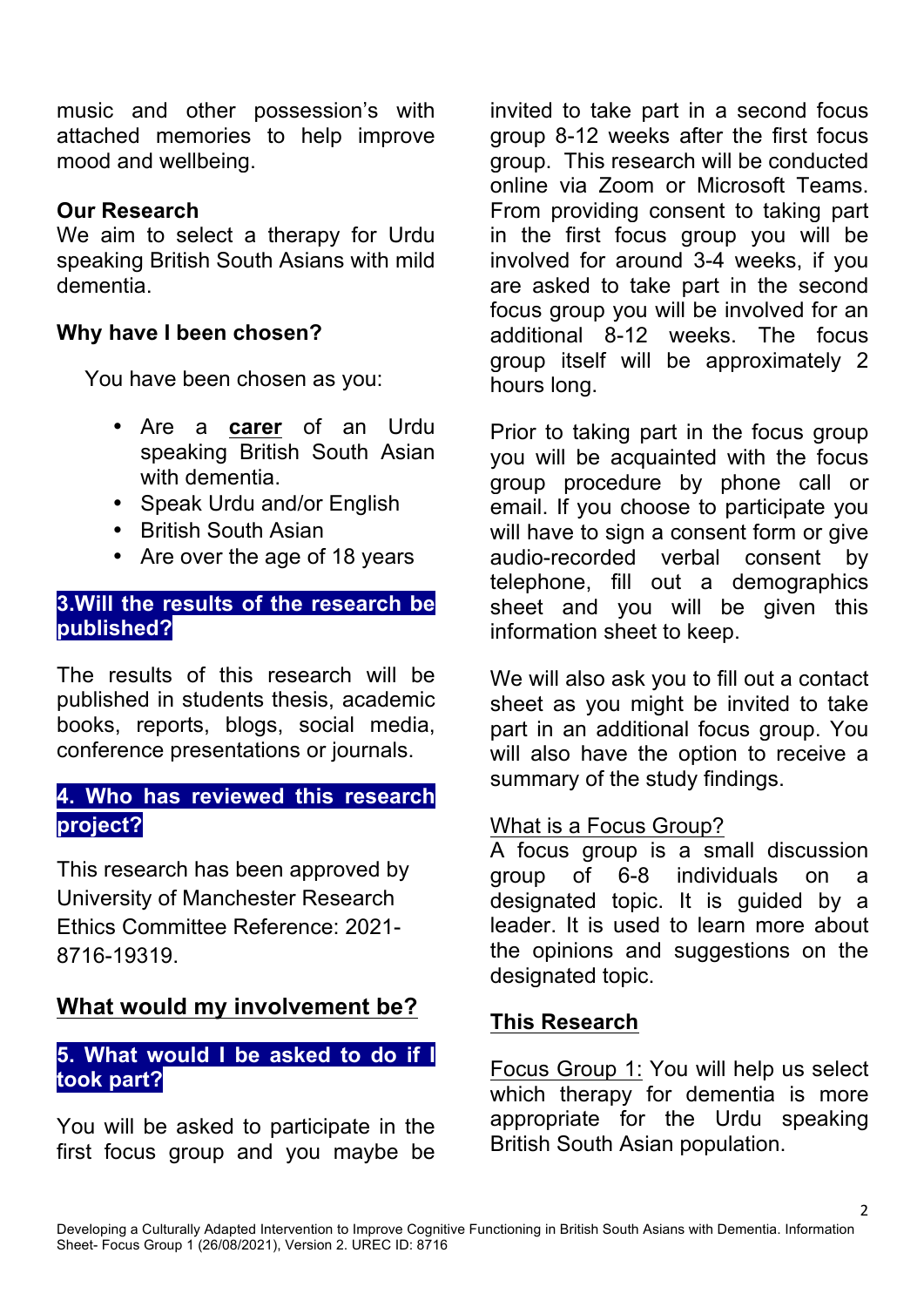music and other possession's with attached memories to help improve mood and wellbeing.

### **Our Research**

We aim to select a therapy for Urdu speaking British South Asians with mild dementia.

## **Why have I been chosen?**

You have been chosen as you:

- Are a **carer** of an Urdu speaking British South Asian with dementia.
- Speak Urdu and/or English
- British South Asian
- Are over the age of 18 years

### **3.Will the results of the research be published?**

The results of this research will be published in students thesis, academic books, reports, blogs, social media, conference presentations or journals.

# **4. Who has reviewed this research project?**

This research has been approved by University of Manchester Research Ethics Committee Reference: 2021- 8716-19319.

# **What would my involvement be?**

### **5. What would I be asked to do if I took part?**

You will be asked to participate in the first focus group and you maybe be

invited to take part in a second focus group 8-12 weeks after the first focus group. This research will be conducted online via Zoom or Microsoft Teams. From providing consent to taking part in the first focus group you will be involved for around 3-4 weeks, if you are asked to take part in the second focus group you will be involved for an additional 8-12 weeks. The focus group itself will be approximately 2 hours long.

Prior to taking part in the focus group you will be acquainted with the focus group procedure by phone call or email. If you choose to participate you will have to sign a consent form or give audio-recorded verbal consent by telephone, fill out a demographics sheet and you will be given this information sheet to keep.

We will also ask you to fill out a contact sheet as you might be invited to take part in an additional focus group. You will also have the option to receive a summary of the study findings.

### What is a Focus Group?

A focus group is a small discussion group of 6-8 individuals on a designated topic. It is guided by a leader. It is used to learn more about the opinions and suggestions on the designated topic.

### **This Research**

Focus Group 1: You will help us select which therapy for dementia is more appropriate for the Urdu speaking British South Asian population.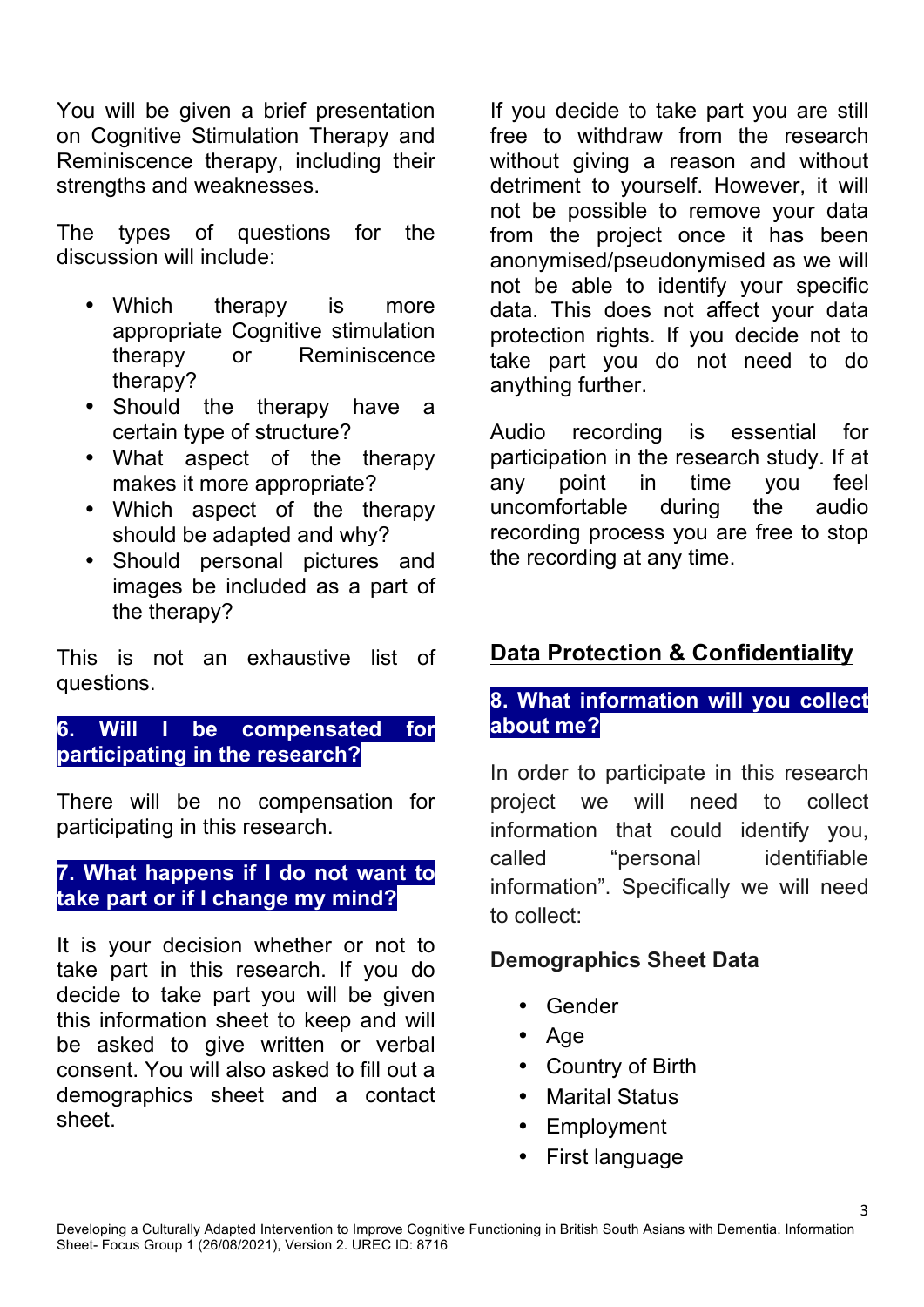You will be given a brief presentation on Cognitive Stimulation Therapy and Reminiscence therapy, including their strengths and weaknesses.

The types of questions for the discussion will include:

- Which therapy is more appropriate Cognitive stimulation therapy or Reminiscence therapy?
- Should the therapy have a certain type of structure?
- What aspect of the therapy makes it more appropriate?
- Which aspect of the therapy should be adapted and why?
- Should personal pictures and images be included as a part of the therapy?

This is not an exhaustive list of questions.

## **6. Will I be compensated for participating in the research?**

There will be no compensation for participating in this research.

### **7. What happens if I do not want to take part or if I change my mind?**

It is your decision whether or not to take part in this research. If you do decide to take part you will be given this information sheet to keep and will be asked to give written or verbal consent. You will also asked to fill out a demographics sheet and a contact sheet.

If you decide to take part you are still free to withdraw from the research without giving a reason and without detriment to yourself. However, it will not be possible to remove your data from the project once it has been anonymised/pseudonymised as we will not be able to identify your specific data. This does not affect your data protection rights. If you decide not to take part you do not need to do anything further.

Audio recording is essential for participation in the research study. If at any point in time you feel uncomfortable during the audio recording process you are free to stop the recording at any time.

# **Data Protection & Confidentiality**

## **8. What information will you collect about me?**

In order to participate in this research project we will need to collect information that could identify you, called "personal identifiable information". Specifically we will need to collect:

3

### **Demographics Sheet Data**

- Gender
- Age
- Country of Birth
- Marital Status
- **Employment**
- First language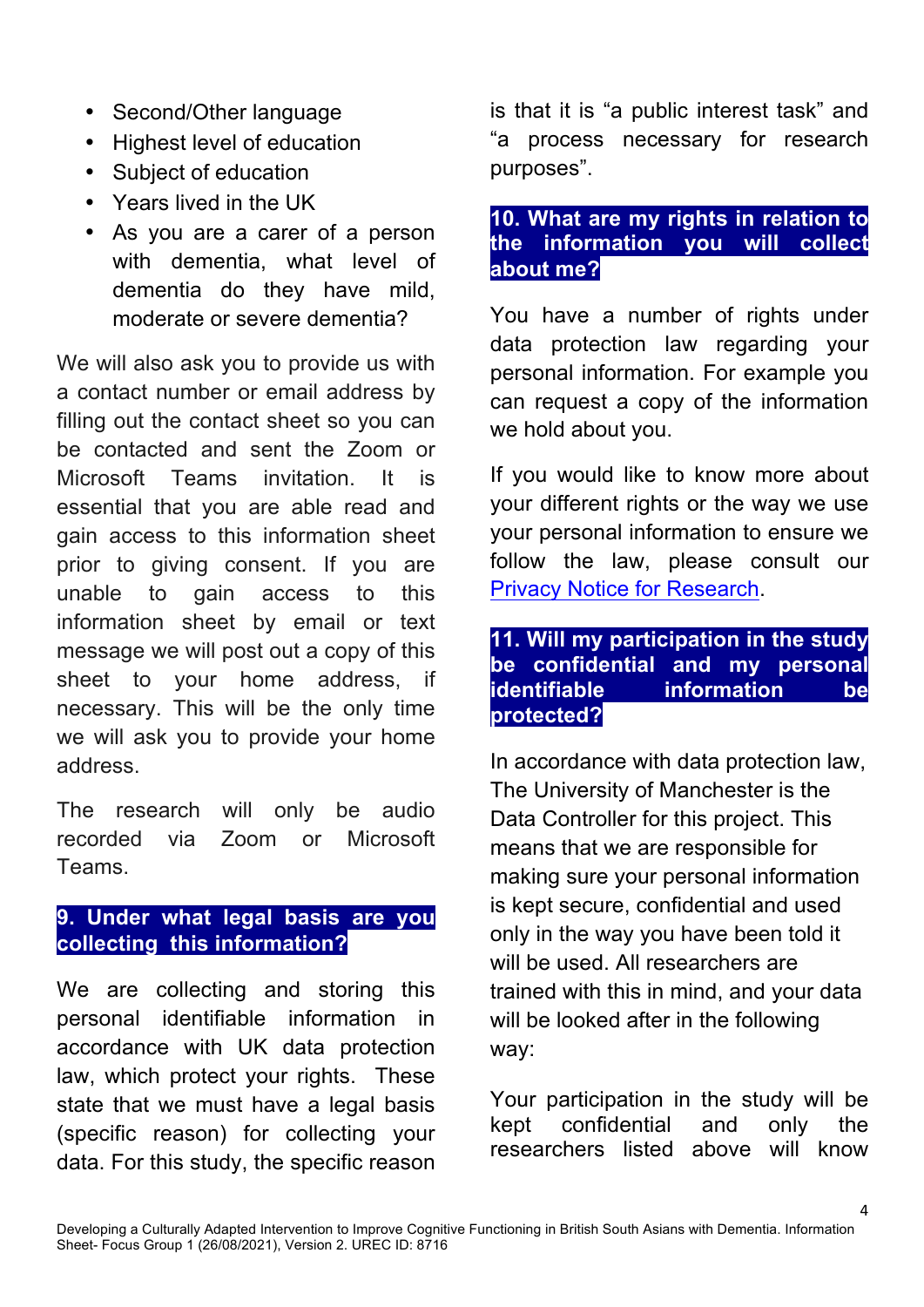- Second/Other language
- Highest level of education
- Subject of education
- Years lived in the UK
- As you are a carer of a person with dementia, what level of dementia do they have mild, moderate or severe dementia?

We will also ask you to provide us with a contact number or email address by filling out the contact sheet so you can be contacted and sent the Zoom or Microsoft Teams invitation. It is essential that you are able read and gain access to this information sheet prior to giving consent. If you are unable to gain access to this information sheet by email or text message we will post out a copy of this sheet to your home address, if necessary. This will be the only time we will ask you to provide your home address.

The research will only be audio recorded via Zoom or Microsoft Teams.

# **9. Under what legal basis are you collecting this information?**

We are collecting and storing this personal identifiable information in accordance with UK data protection law, which protect your rights. These state that we must have a legal basis (specific reason) for collecting your data. For this study, the specific reason is that it is "a public interest task" and "a process necessary for research purposes".

### **10. What are my rights in relation to the information you will collect about me?**

You have a number of rights under data protection law regarding your personal information. For example you can request a copy of the information we hold about you.

If you would like to know more about your different rights or the way we use your personal information to ensure we follow the law, please consult our Privacy Notice for Research.

### **11. Will my participation in the study be confidential and my personal identifiable information be protected?**

In accordance with data protection law, The University of Manchester is the Data Controller for this project. This means that we are responsible for making sure your personal information is kept secure, confidential and used only in the way you have been told it will be used. All researchers are trained with this in mind, and your data will be looked after in the following way:

Your participation in the study will be kept confidential and only the researchers listed above will know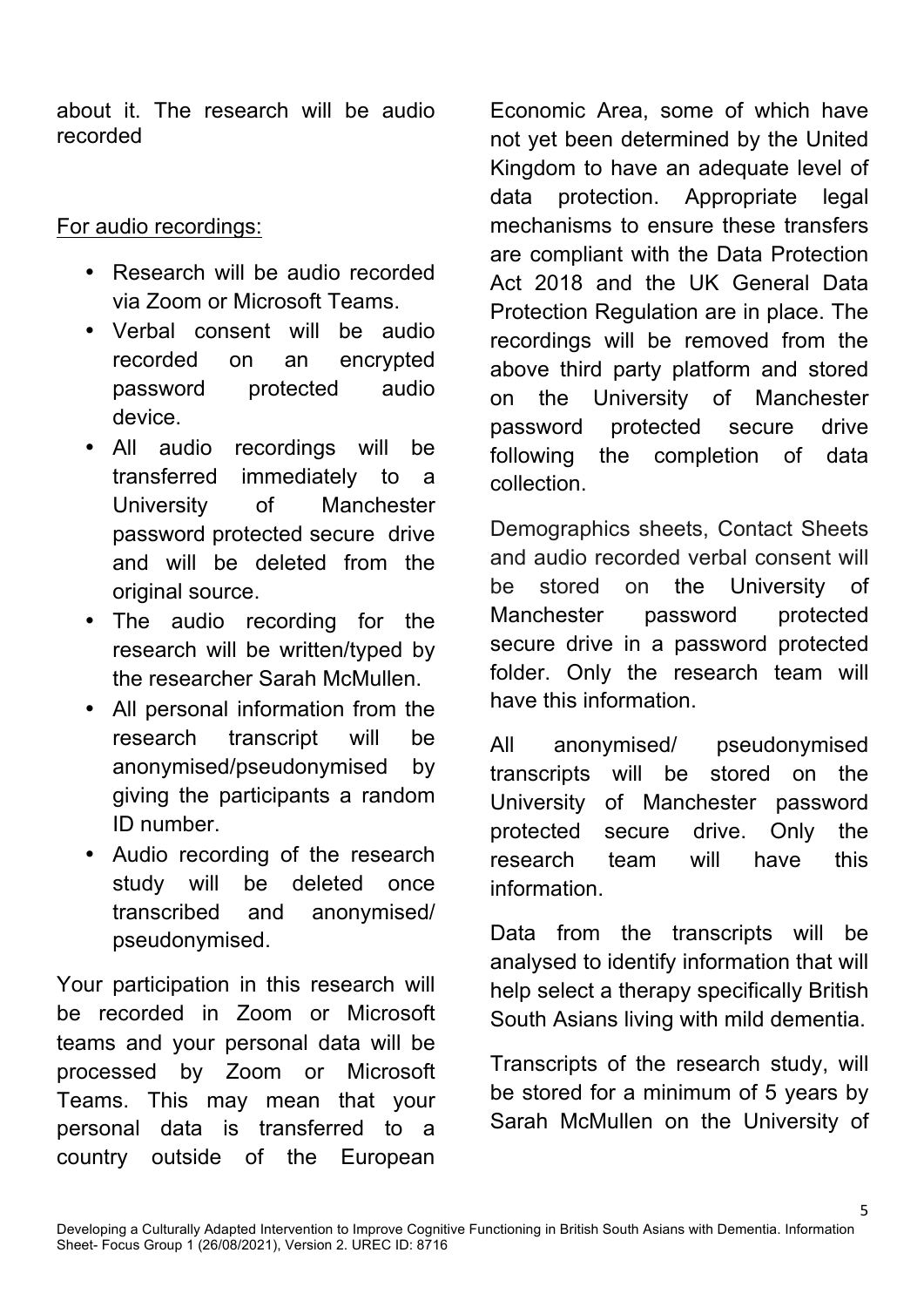about it. The research will be audio recorded

For audio recordings:

- Research will be audio recorded via Zoom or Microsoft Teams.
- Verbal consent will be audio recorded on an encrypted password protected audio device.
- All audio recordings will be transferred immediately to a University of Manchester password protected secure drive and will be deleted from the original source.
- The audio recording for the research will be written/typed by the researcher Sarah McMullen.
- All personal information from the research transcript will be anonymised/pseudonymised by giving the participants a random ID number.
- Audio recording of the research study will be deleted once transcribed and anonymised/ pseudonymised.

Your participation in this research will be recorded in Zoom or Microsoft teams and your personal data will be processed by Zoom or Microsoft Teams. This may mean that your personal data is transferred to a country outside of the European Economic Area, some of which have not yet been determined by the United Kingdom to have an adequate level of data protection. Appropriate legal mechanisms to ensure these transfers are compliant with the Data Protection Act 2018 and the UK General Data Protection Regulation are in place. The recordings will be removed from the above third party platform and stored on the University of Manchester password protected secure drive following the completion of data collection.

Demographics sheets, Contact Sheets and audio recorded verbal consent will be stored on the University of Manchester password protected secure drive in a password protected folder. Only the research team will have this information.

All anonymised/ pseudonymised transcripts will be stored on the University of Manchester password protected secure drive. Only the research team will have this information.

Data from the transcripts will be analysed to identify information that will help select a therapy specifically British South Asians living with mild dementia.

Transcripts of the research study, will be stored for a minimum of 5 years by Sarah McMullen on the University of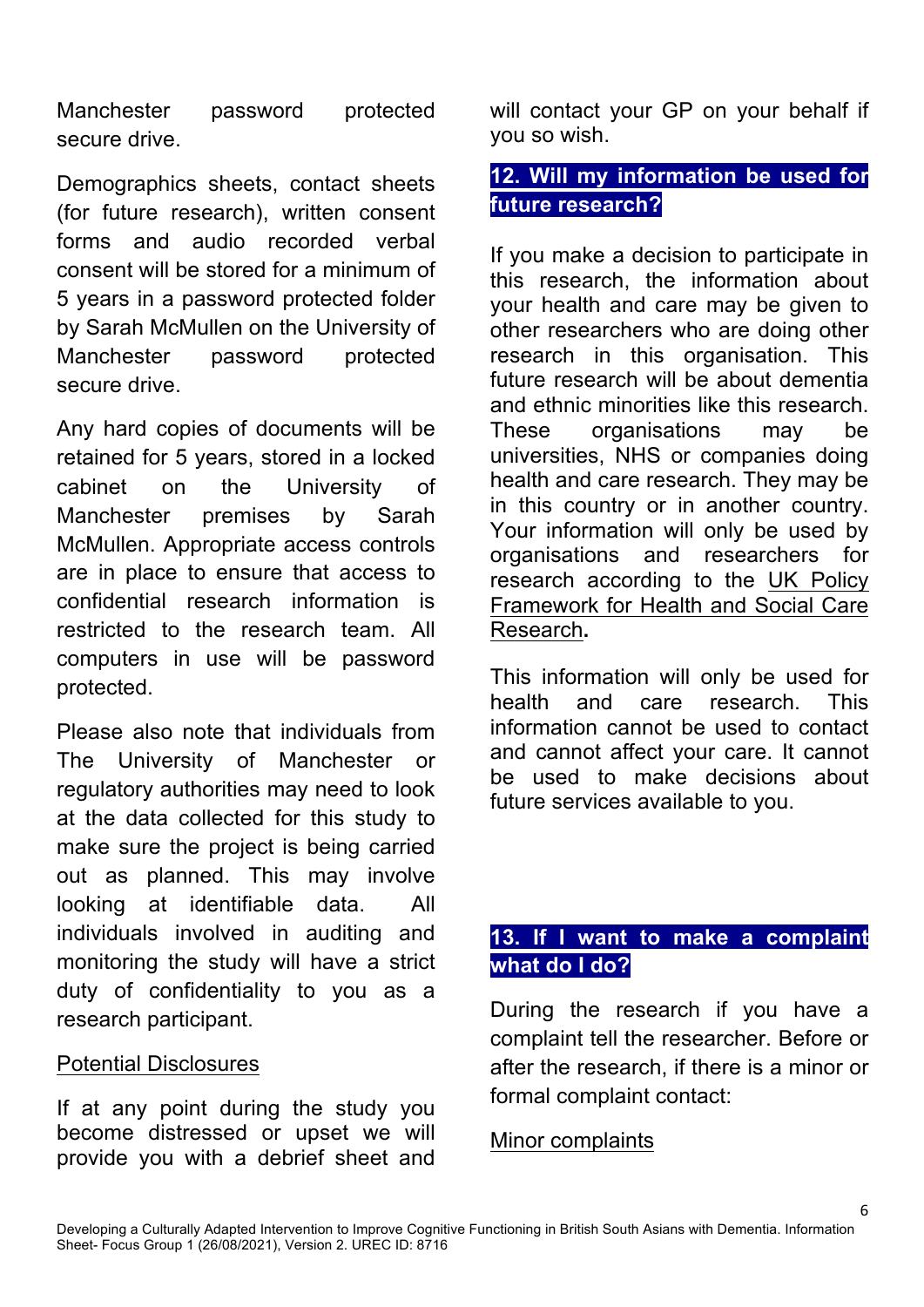Manchester password protected secure drive.

Demographics sheets, contact sheets (for future research), written consent forms and audio recorded verbal consent will be stored for a minimum of 5 years in a password protected folder by Sarah McMullen on the University of Manchester password protected secure drive.

Any hard copies of documents will be retained for 5 years, stored in a locked cabinet on the University of Manchester premises by Sarah McMullen. Appropriate access controls are in place to ensure that access to confidential research information is restricted to the research team. All computers in use will be password protected.

Please also note that individuals from The University of Manchester or regulatory authorities may need to look at the data collected for this study to make sure the project is being carried out as planned. This may involve looking at identifiable data. All individuals involved in auditing and monitoring the study will have a strict duty of confidentiality to you as a research participant.

### Potential Disclosures

If at any point during the study you become distressed or upset we will provide you with a debrief sheet and will contact your GP on your behalf if you so wish.

### **12. Will my information be used for future research?**

If you make a decision to participate in this research, the information about your health and care may be given to other researchers who are doing other research in this organisation. This future research will be about dementia and ethnic minorities like this research. These organisations may be universities, NHS or companies doing health and care research. They may be in this country or in another country. Your information will only be used by organisations and researchers for research according to the UK Policy Framework for Health and Social Care Research**.**

This information will only be used for health and care research. This information cannot be used to contact and cannot affect your care. It cannot be used to make decisions about future services available to you.

# **13. If I want to make a complaint what do I do?**

During the research if you have a complaint tell the researcher. Before or after the research, if there is a minor or formal complaint contact:

### Minor complaints